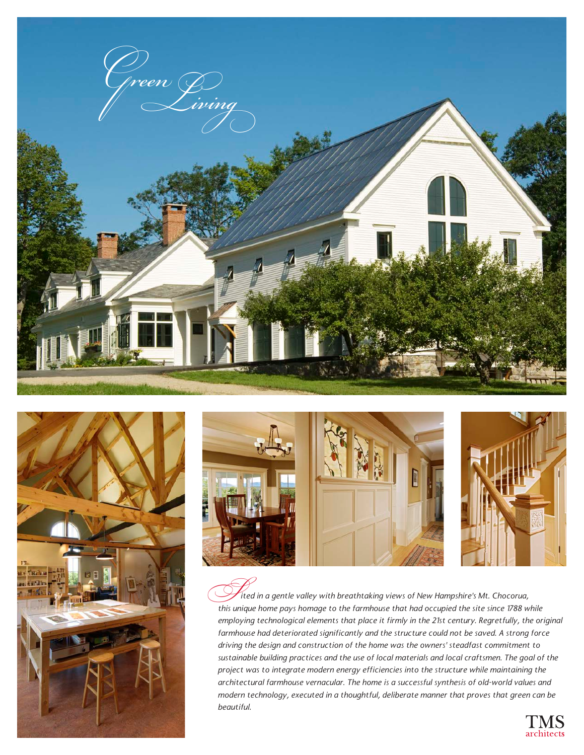





 *ited in a gentle valley with breathtaking views of New Hampshire's Mt. Chocorua,*  fited in a gentle valley with breathtaking views of New Hampshire's Mt. Chocorua,<br>this unique home pays homage to the farmhouse that had occupied the site since 1788 while *employing technological elements that place it firmly in the 21st century. Regretfully, the original farmhouse had deteriorated significantly and the structure could not be saved. A strong force driving the design and construction of the home was the owners' steadfast commitment to sustainable building practices and the use of local materials and local craftsmen. The goal of the project was to integrate modern energy efficiencies into the structure while maintaining the architectural farmhouse vernacular. The home is a successful synthesis of old-world values and modern technology, executed in a thoughtful, deliberate manner that proves that green can be beautiful.*